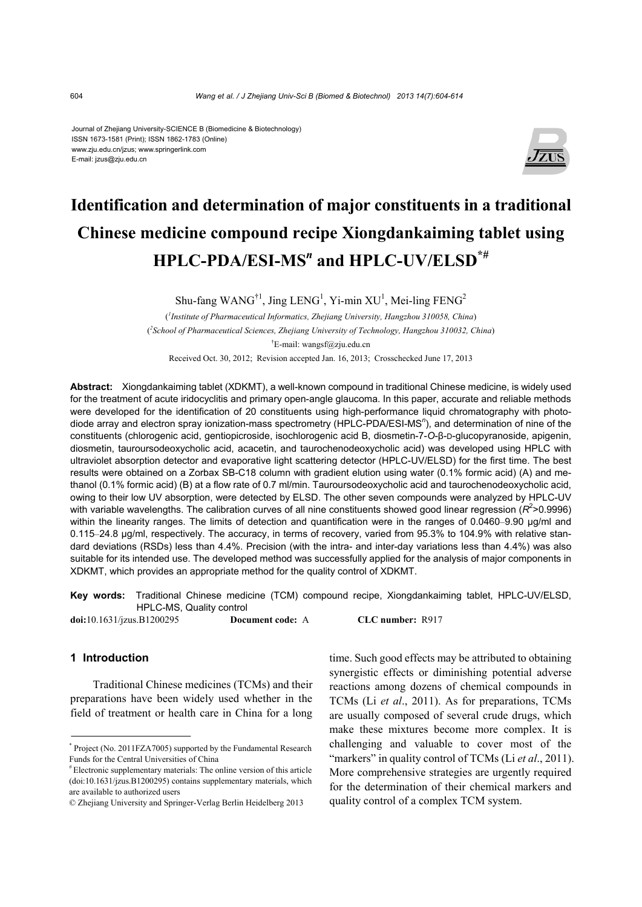#### Journal of Zhejiang University-SCIENCE B (Biomedicine & Biotechnology) ISSN 1673-1581 (Print); ISSN 1862-1783 (Online) www.zju.edu.cn/jzus; www.springerlink.com E-mail: jzus@zju.edu.cn



# **Identification and determination of major constituents in a traditional Chinese medicine compound recipe Xiongdankaiming tablet using HPLC-PDA/ESI-MS***<sup>n</sup>*  **and HPLC-UV/ELSD\*#**

Shu-fang WANG<sup>†1</sup>, Jing LENG<sup>1</sup>, Yi-min  $XU<sup>1</sup>$ , Mei-ling FENG<sup>2</sup>

( *1 Institute of Pharmaceutical Informatics, Zhejiang University, Hangzhou 310058, China*) ( *2 School of Pharmaceutical Sciences, Zhejiang University of Technology, Hangzhou 310032, China*) † E-mail: wangsf@zju.edu.cn

Received Oct. 30, 2012; Revision accepted Jan. 16, 2013; Crosschecked June 17, 2013

**Abstract:** Xiongdankaiming tablet (XDKMT), a well-known compound in traditional Chinese medicine, is widely used for the treatment of acute iridocyclitis and primary open-angle glaucoma. In this paper, accurate and reliable methods were developed for the identification of 20 constituents using high-performance liquid chromatography with photodiode array and electron spray ionization-mass spectrometry (HPLC-PDA/ESI-MS*<sup>n</sup>* ), and determination of nine of the constituents (chlorogenic acid, gentiopicroside, isochlorogenic acid B, diosmetin-7-*O*-β-D-glucopyranoside, apigenin, diosmetin, tauroursodeoxycholic acid, acacetin, and taurochenodeoxycholic acid) was developed using HPLC with ultraviolet absorption detector and evaporative light scattering detector (HPLC-UV/ELSD) for the first time. The best results were obtained on a Zorbax SB-C18 column with gradient elution using water (0.1% formic acid) (A) and methanol (0.1% formic acid) (B) at a flow rate of 0.7 ml/min. Tauroursodeoxycholic acid and taurochenodeoxycholic acid, owing to their low UV absorption, were detected by ELSD. The other seven compounds were analyzed by HPLC-UV with variable wavelengths. The calibration curves of all nine constituents showed good linear regression  $(R^2>0.9996)$ within the linearity ranges. The limits of detection and quantification were in the ranges of 0.0460–9.90 μg/ml and 0.115–24.8 μg/ml, respectively. The accuracy, in terms of recovery, varied from 95.3% to 104.9% with relative standard deviations (RSDs) less than 4.4%. Precision (with the intra- and inter-day variations less than 4.4%) was also suitable for its intended use. The developed method was successfully applied for the analysis of major components in XDKMT, which provides an appropriate method for the quality control of XDKMT.

**Key words:** Traditional Chinese medicine (TCM) compound recipe, Xiongdankaiming tablet, HPLC-UV/ELSD, HPLC-MS, Quality control

**doi:**10.1631/jzus.B1200295 **Document code:** A **CLC number:** R917

# **1 Introduction**

Traditional Chinese medicines (TCMs) and their preparations have been widely used whether in the field of treatment or health care in China for a long time. Such good effects may be attributed to obtaining synergistic effects or diminishing potential adverse reactions among dozens of chemical compounds in TCMs (Li *et al*., 2011). As for preparations, TCMs are usually composed of several crude drugs, which make these mixtures become more complex. It is challenging and valuable to cover most of the "markers" in quality control of TCMs (Li *et al*., 2011). More comprehensive strategies are urgently required for the determination of their chemical markers and quality control of a complex TCM system.

<sup>\*</sup> Project (No. 2011FZA7005) supported by the Fundamental Research Funds for the Central Universities of China<br># Electronic supplementary materials: The online version of this article

<sup>(</sup>doi:10.1631/jzus.B1200295) contains supplementary materials, which are available to authorized users

<sup>©</sup> Zhejiang University and Springer-Verlag Berlin Heidelberg 2013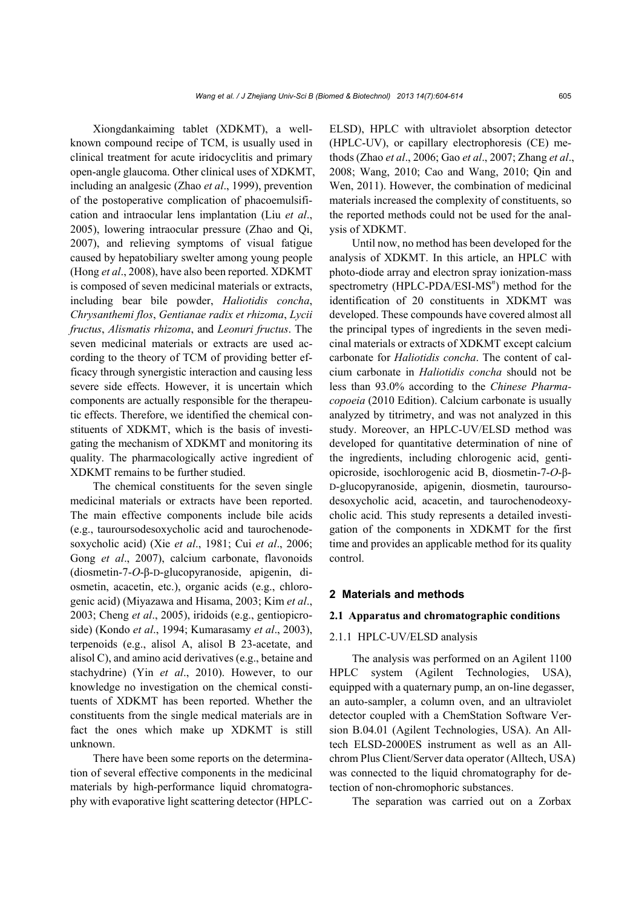Xiongdankaiming tablet (XDKMT), a wellknown compound recipe of TCM, is usually used in clinical treatment for acute iridocyclitis and primary open-angle glaucoma. Other clinical uses of XDKMT, including an analgesic (Zhao *et al*., 1999), prevention of the postoperative complication of phacoemulsification and intraocular lens implantation (Liu *et al*., 2005), lowering intraocular pressure (Zhao and Qi, 2007), and relieving symptoms of visual fatigue caused by hepatobiliary swelter among young people (Hong *et al*., 2008), have also been reported. XDKMT is composed of seven medicinal materials or extracts, including bear bile powder, *Haliotidis concha*, *Chrysanthemi flos*, *Gentianae radix et rhizoma*, *Lycii fructus*, *Alismatis rhizoma*, and *Leonuri fructus*. The seven medicinal materials or extracts are used according to the theory of TCM of providing better efficacy through synergistic interaction and causing less severe side effects. However, it is uncertain which components are actually responsible for the therapeutic effects. Therefore, we identified the chemical constituents of XDKMT, which is the basis of investigating the mechanism of XDKMT and monitoring its quality. The pharmacologically active ingredient of XDKMT remains to be further studied.

The chemical constituents for the seven single medicinal materials or extracts have been reported. The main effective components include bile acids (e.g., tauroursodesoxycholic acid and taurochenodesoxycholic acid) (Xie *et al*., 1981; Cui *et al*., 2006; Gong *et al*., 2007), calcium carbonate, flavonoids (diosmetin-7-*O*-β-D-glucopyranoside, apigenin, diosmetin, acacetin, etc.), organic acids (e.g., chlorogenic acid) (Miyazawa and Hisama, 2003; Kim *et al*., 2003; Cheng *et al*., 2005), iridoids (e.g., gentiopicroside) (Kondo *et al*., 1994; Kumarasamy *et al*., 2003), terpenoids (e.g., alisol A, alisol B 23-acetate, and alisol C), and amino acid derivatives (e.g., betaine and stachydrine) (Yin *et al*., 2010). However, to our knowledge no investigation on the chemical constituents of XDKMT has been reported. Whether the constituents from the single medical materials are in fact the ones which make up XDKMT is still unknown.

There have been some reports on the determination of several effective components in the medicinal materials by high-performance liquid chromatography with evaporative light scattering detector (HPLC- ELSD), HPLC with ultraviolet absorption detector (HPLC-UV), or capillary electrophoresis (CE) methods (Zhao *et al*., 2006; Gao *et al*., 2007; Zhang *et al*., 2008; Wang, 2010; Cao and Wang, 2010; Qin and Wen, 2011). However, the combination of medicinal materials increased the complexity of constituents, so the reported methods could not be used for the analysis of XDKMT.

Until now, no method has been developed for the analysis of XDKMT. In this article, an HPLC with photo-diode array and electron spray ionization-mass spectrometry (HPLC-PDA/ESI-MS<sup>n</sup>) method for the identification of 20 constituents in XDKMT was developed. These compounds have covered almost all the principal types of ingredients in the seven medicinal materials or extracts of XDKMT except calcium carbonate for *Haliotidis concha*. The content of calcium carbonate in *Haliotidis concha* should not be less than 93.0% according to the *Chinese Pharmacopoeia* (2010 Edition). Calcium carbonate is usually analyzed by titrimetry, and was not analyzed in this study. Moreover, an HPLC-UV/ELSD method was developed for quantitative determination of nine of the ingredients, including chlorogenic acid, gentiopicroside, isochlorogenic acid B, diosmetin-7-*O*-β-D-glucopyranoside, apigenin, diosmetin, tauroursodesoxycholic acid, acacetin, and taurochenodeoxycholic acid. This study represents a detailed investigation of the components in XDKMT for the first time and provides an applicable method for its quality control.

### **2 Materials and methods**

#### **2.1 Apparatus and chromatographic conditions**

## 2.1.1 HPLC-UV/ELSD analysis

The analysis was performed on an Agilent 1100 HPLC system (Agilent Technologies, USA), equipped with a quaternary pump, an on-line degasser, an auto-sampler, a column oven, and an ultraviolet detector coupled with a ChemStation Software Version B.04.01 (Agilent Technologies, USA). An Alltech ELSD-2000ES instrument as well as an Allchrom Plus Client/Server data operator (Alltech, USA) was connected to the liquid chromatography for detection of non-chromophoric substances.

The separation was carried out on a Zorbax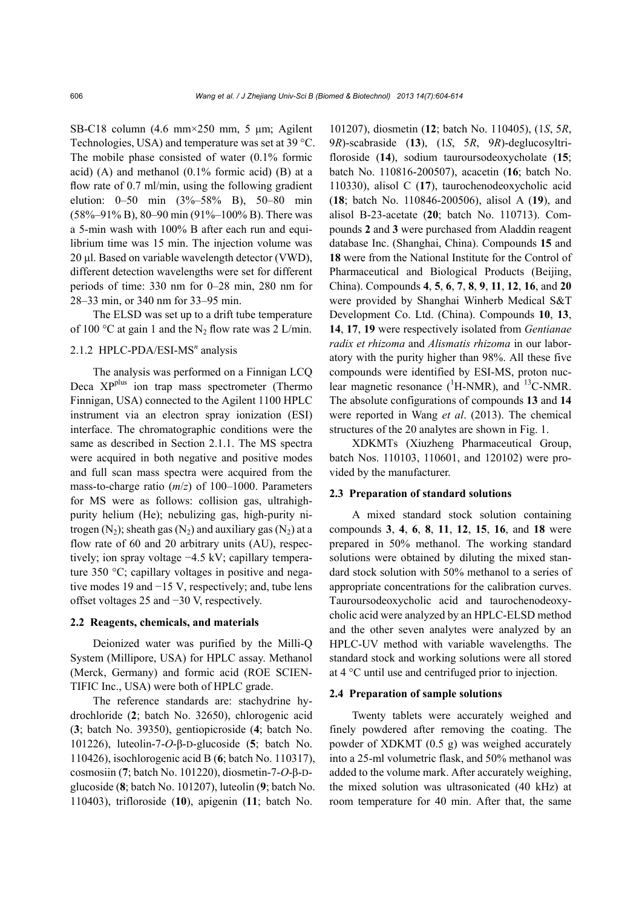SB-C18 column (4.6 mm×250 mm, 5 μm; Agilent Technologies, USA) and temperature was set at 39 °C. The mobile phase consisted of water (0.1% formic acid)  $(A)$  and methanol  $(0.1\%$  formic acid)  $(B)$  at a flow rate of 0.7 ml/min, using the following gradient elution: 0–50 min (3%–58% B), 50–80 min (58%–91% B), 80–90 min (91%–100% B). There was a 5-min wash with 100% B after each run and equilibrium time was 15 min. The injection volume was 20 μl. Based on variable wavelength detector (VWD), different detection wavelengths were set for different periods of time: 330 nm for 0–28 min, 280 nm for 28–33 min, or 340 nm for 33–95 min.

The ELSD was set up to a drift tube temperature of 100 °C at gain 1 and the  $N_2$  flow rate was 2 L/min.

# 2.1.2 HPLC-PDA/ESI-MS*<sup>n</sup>* analysis

The analysis was performed on a Finnigan LCQ Deca XP<sup>plus</sup> ion trap mass spectrometer (Thermo Finnigan, USA) connected to the Agilent 1100 HPLC instrument via an electron spray ionization (ESI) interface. The chromatographic conditions were the same as described in Section 2.1.1. The MS spectra were acquired in both negative and positive modes and full scan mass spectra were acquired from the mass-to-charge ratio (*m*/*z*) of 100–1000. Parameters for MS were as follows: collision gas, ultrahighpurity helium (He); nebulizing gas, high-purity nitrogen  $(N_2)$ ; sheath gas  $(N_2)$  and auxiliary gas  $(N_2)$  at a flow rate of 60 and 20 arbitrary units (AU), respectively; ion spray voltage −4.5 kV; capillary temperature 350 °C; capillary voltages in positive and negative modes 19 and −15 V, respectively; and, tube lens offset voltages 25 and −30 V, respectively.

#### **2.2 Reagents, chemicals, and materials**

Deionized water was purified by the Milli-Q System (Millipore, USA) for HPLC assay. Methanol (Merck, Germany) and formic acid (ROE SCIEN-TIFIC Inc., USA) were both of HPLC grade.

The reference standards are: stachydrine hydrochloride (**2**; batch No. 32650), chlorogenic acid (**3**; batch No. 39350), gentiopicroside (**4**; batch No. 101226), luteolin-7-*O*-β-D-glucoside (**5**; batch No. 110426), isochlorogenic acid B (**6**; batch No. 110317), cosmosiin (**7**; batch No. 101220), diosmetin-7-*O*-β-Dglucoside (**8**; batch No. 101207), luteolin (**9**; batch No. 110403), trifloroside (**10**), apigenin (**11**; batch No.

101207), diosmetin (**12**; batch No. 110405), (1*S*, 5*R*, 9*R*)-scabraside (**13**), (1*S*, 5*R*, 9*R*)-deglucosyltrifloroside (**14**), sodium tauroursodeoxycholate (**15**; batch No. 110816-200507), acacetin (**16**; batch No. 110330), alisol C (**17**), taurochenodeoxycholic acid (**18**; batch No. 110846-200506), alisol A (**19**), and alisol B-23-acetate (**20**; batch No. 110713). Compounds **2** and **3** were purchased from Aladdin reagent database Inc. (Shanghai, China). Compounds **15** and **18** were from the National Institute for the Control of Pharmaceutical and Biological Products (Beijing, China). Compounds **4**, **5**, **6**, **7**, **8**, **9**, **11**, **12**, **16**, and **20** were provided by Shanghai Winherb Medical S&T Development Co. Ltd. (China). Compounds **10**, **13**, **14**, **17**, **19** were respectively isolated from *Gentianae radix et rhizoma* and *Alismatis rhizoma* in our laboratory with the purity higher than 98%. All these five compounds were identified by ESI-MS, proton nuclear magnetic resonance  $(^1H\text{-NMR})$ , and  $^{13}C\text{-NMR}$ . The absolute configurations of compounds **13** and **14** were reported in Wang *et al*. (2013). The chemical structures of the 20 analytes are shown in Fig. 1.

XDKMTs (Xiuzheng Pharmaceutical Group, batch Nos. 110103, 110601, and 120102) were provided by the manufacturer.

#### **2.3 Preparation of standard solutions**

A mixed standard stock solution containing compounds **3**, **4**, **6**, **8**, **11**, **12**, **15**, **16**, and **18** were prepared in 50% methanol. The working standard solutions were obtained by diluting the mixed standard stock solution with 50% methanol to a series of appropriate concentrations for the calibration curves. Tauroursodeoxycholic acid and taurochenodeoxycholic acid were analyzed by an HPLC-ELSD method and the other seven analytes were analyzed by an HPLC-UV method with variable wavelengths. The standard stock and working solutions were all stored at 4 °C until use and centrifuged prior to injection.

#### **2.4 Preparation of sample solutions**

Twenty tablets were accurately weighed and finely powdered after removing the coating. The powder of XDKMT (0.5 g) was weighed accurately into a 25-ml volumetric flask, and 50% methanol was added to the volume mark. After accurately weighing, the mixed solution was ultrasonicated (40 kHz) at room temperature for 40 min. After that, the same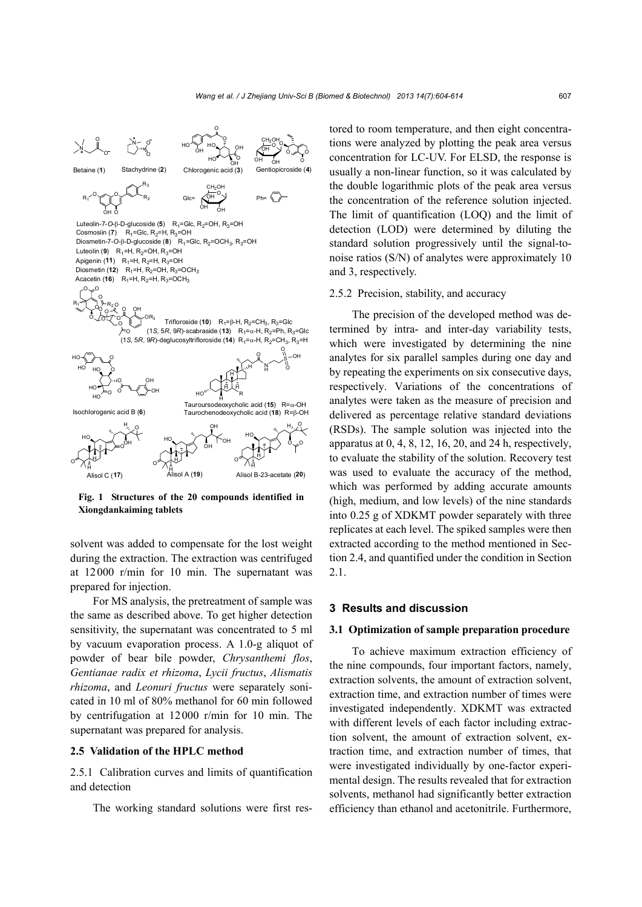

**Fig. 1 Structures of the 20 compounds identified in Xiongdankaiming tablets** 

solvent was added to compensate for the lost weight during the extraction. The extraction was centrifuged at 12000 r/min for 10 min. The supernatant was prepared for injection.

For MS analysis, the pretreatment of sample was the same as described above. To get higher detection sensitivity, the supernatant was concentrated to 5 ml by vacuum evaporation process. A 1.0-g aliquot of powder of bear bile powder, *Chrysanthemi flos*, *Gentianae radix et rhizoma*, *Lycii fructus*, *Alismatis rhizoma*, and *Leonuri fructus* were separately sonicated in 10 ml of 80% methanol for 60 min followed by centrifugation at 12000 r/min for 10 min. The supernatant was prepared for analysis.

## **2.5 Validation of the HPLC method**

2.5.1 Calibration curves and limits of quantification and detection

The working standard solutions were first res-

tored to room temperature, and then eight concentrations were analyzed by plotting the peak area versus concentration for LC-UV. For ELSD, the response is usually a non-linear function, so it was calculated by the double logarithmic plots of the peak area versus the concentration of the reference solution injected. The limit of quantification (LOQ) and the limit of detection (LOD) were determined by diluting the standard solution progressively until the signal-tonoise ratios (S/N) of analytes were approximately 10 and 3, respectively.

# 2.5.2 Precision, stability, and accuracy

The precision of the developed method was determined by intra- and inter-day variability tests, which were investigated by determining the nine analytes for six parallel samples during one day and by repeating the experiments on six consecutive days, respectively. Variations of the concentrations of analytes were taken as the measure of precision and delivered as percentage relative standard deviations (RSDs). The sample solution was injected into the apparatus at  $0, 4, 8, 12, 16, 20,$  and  $24$  h, respectively, to evaluate the stability of the solution. Recovery test was used to evaluate the accuracy of the method, which was performed by adding accurate amounts (high, medium, and low levels) of the nine standards into 0.25 g of XDKMT powder separately with three replicates at each level. The spiked samples were then extracted according to the method mentioned in Section 2.4, and quantified under the condition in Section 2.1.

## **3 Results and discussion**

#### **3.1 Optimization of sample preparation procedure**

To achieve maximum extraction efficiency of the nine compounds, four important factors, namely, extraction solvents, the amount of extraction solvent, extraction time, and extraction number of times were investigated independently. XDKMT was extracted with different levels of each factor including extraction solvent, the amount of extraction solvent, extraction time, and extraction number of times, that were investigated individually by one-factor experimental design. The results revealed that for extraction solvents, methanol had significantly better extraction efficiency than ethanol and acetonitrile. Furthermore,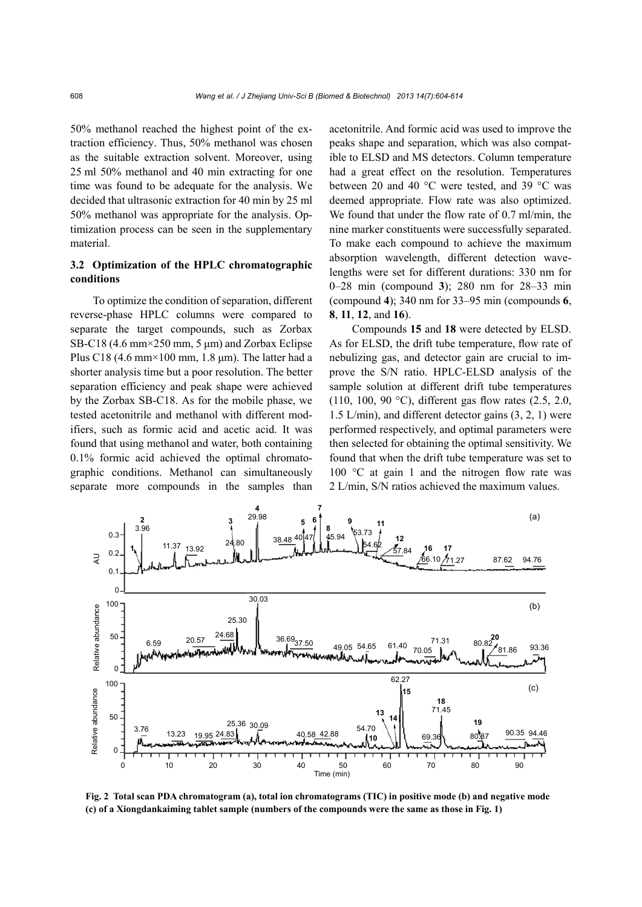50% methanol reached the highest point of the extraction efficiency. Thus, 50% methanol was chosen as the suitable extraction solvent. Moreover, using 25 ml 50% methanol and 40 min extracting for one time was found to be adequate for the analysis. We decided that ultrasonic extraction for 40 min by 25 ml 50% methanol was appropriate for the analysis. Optimization process can be seen in the supplementary material.

# **3.2 Optimization of the HPLC chromatographic conditions**

To optimize the condition of separation, different reverse-phase HPLC columns were compared to separate the target compounds, such as Zorbax SB-C18 (4.6 mm $\times$ 250 mm, 5 µm) and Zorbax Eclipse Plus C18 (4.6 mm $\times$ 100 mm, 1.8 µm). The latter had a shorter analysis time but a poor resolution. The better separation efficiency and peak shape were achieved by the Zorbax SB-C18. As for the mobile phase, we tested acetonitrile and methanol with different modifiers, such as formic acid and acetic acid. It was found that using methanol and water, both containing 0.1% formic acid achieved the optimal chromatographic conditions. Methanol can simultaneously separate more compounds in the samples than

acetonitrile. And formic acid was used to improve the peaks shape and separation, which was also compatible to ELSD and MS detectors. Column temperature had a great effect on the resolution. Temperatures between 20 and 40 °C were tested, and 39 °C was deemed appropriate. Flow rate was also optimized. We found that under the flow rate of 0.7 ml/min, the nine marker constituents were successfully separated. To make each compound to achieve the maximum absorption wavelength, different detection wavelengths were set for different durations: 330 nm for 0–28 min (compound **3**); 280 nm for 28–33 min (compound **4**); 340 nm for 33–95 min (compounds **6**, **8**, **11**, **12**, and **16**).

Compounds **15** and **18** were detected by ELSD. As for ELSD, the drift tube temperature, flow rate of nebulizing gas, and detector gain are crucial to improve the S/N ratio. HPLC-ELSD analysis of the sample solution at different drift tube temperatures (110, 100, 90 °C), different gas flow rates (2.5, 2.0, 1.5 L/min), and different detector gains (3, 2, 1) were performed respectively, and optimal parameters were then selected for obtaining the optimal sensitivity. We found that when the drift tube temperature was set to 100 °C at gain 1 and the nitrogen flow rate was 2 L/min, S/N ratios achieved the maximum values.



**Fig. 2 Total scan PDA chromatogram (a), total ion chromatograms (TIC) in positive mode (b) and negative mode**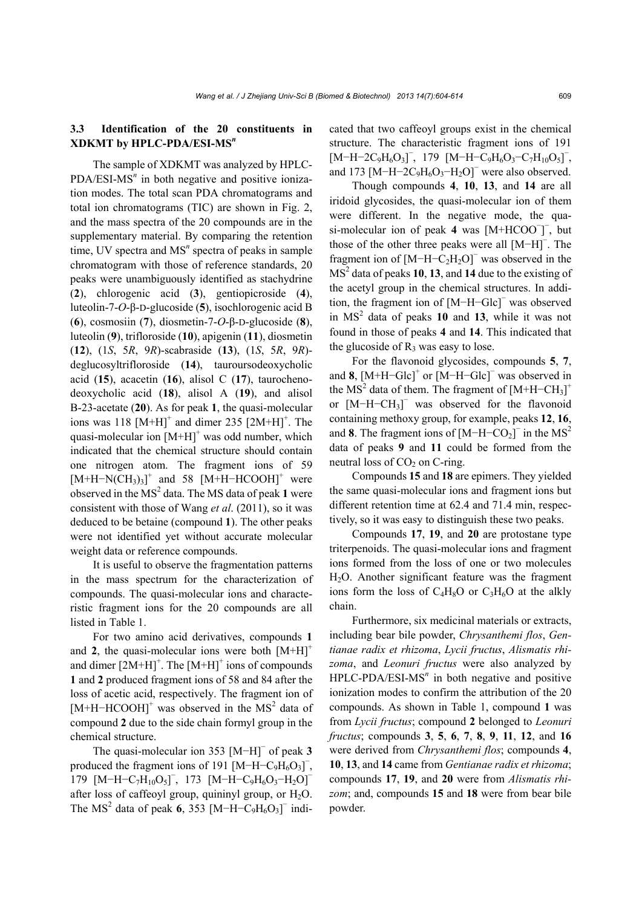# **3.3 Identification of the 20 constituents in XDKMT by HPLC-PDA/ESI-MS***<sup>n</sup>*

The sample of XDKMT was analyzed by HPLC-PDA/ESI-MS<sup>n</sup> in both negative and positive ionization modes. The total scan PDA chromatograms and total ion chromatograms (TIC) are shown in Fig. 2, and the mass spectra of the 20 compounds are in the supplementary material. By comparing the retention time, UV spectra and MS<sup>n</sup> spectra of peaks in sample chromatogram with those of reference standards, 20 peaks were unambiguously identified as stachydrine (**2**), chlorogenic acid (**3**), gentiopicroside (**4**), luteolin-7-*O*-β-D-glucoside (**5**), isochlorogenic acid B (**6**), cosmosiin (**7**), diosmetin-7-*O*-β-D-glucoside (**8**), luteolin (**9**), trifloroside (**10**), apigenin (**11**), diosmetin (**12**), (1*S*, 5*R*, 9*R*)-scabraside (**13**), (1*S*, 5*R*, 9*R*) deglucosyltrifloroside (**14**), tauroursodeoxycholic acid (**15**), acacetin (**16**), alisol C (**17**), taurochenodeoxycholic acid (**18**), alisol A (**19**), and alisol B-23-acetate (**20**). As for peak **1**, the quasi-molecular ions was 118  $[M+H]$ <sup>+</sup> and dimer 235  $[2M+H]$ <sup>+</sup>. The quasi-molecular ion  $[M+H]$ <sup>+</sup> was odd number, which indicated that the chemical structure should contain one nitrogen atom. The fragment ions of 59  $[M+H-N(CH<sub>3</sub>)<sub>3</sub>$ <sup>+</sup> and 58  $[M+H-HCOOH]$ <sup>+</sup> were observed in the  $MS<sup>2</sup>$  data. The MS data of peak 1 were consistent with those of Wang *et al*. (2011), so it was deduced to be betaine (compound **1**). The other peaks were not identified yet without accurate molecular weight data or reference compounds.

It is useful to observe the fragmentation patterns in the mass spectrum for the characterization of compounds. The quasi-molecular ions and characteristic fragment ions for the 20 compounds are all listed in Table 1.

For two amino acid derivatives, compounds **1** and 2, the quasi-molecular ions were both  $[M+H]$ <sup>+</sup> and dimer  $[2M+H]^{+}$ . The  $[M+H]^{+}$  ions of compounds **1** and **2** produced fragment ions of 58 and 84 after the loss of acetic acid, respectively. The fragment ion of [M+H–HCOOH]<sup>+</sup> was observed in the MS<sup>2</sup> data of compound **2** due to the side chain formyl group in the chemical structure.

The quasi-molecular ion 353 [M−H]<sup>−</sup> of peak **3** produced the fragment ions of 191  $[M-H-C_9H_6O_3]$ , 179 [M-H-C<sub>7</sub>H<sub>10</sub>O<sub>5</sub>]<sup>-</sup>, 173 [M-H-C<sub>9</sub>H<sub>6</sub>O<sub>3</sub>-H<sub>2</sub>O]<sup>-</sup> after loss of caffeoyl group, quininyl group, or  $H_2O$ . The MS<sup>2</sup> data of peak **6**, 353 [M−H−C<sub>9</sub>H<sub>6</sub>O<sub>3</sub>]<sup>-</sup> indicated that two caffeoyl groups exist in the chemical structure. The characteristic fragment ions of 191  $[M-H-2C_9H_6O_3]$ , 179  $[M-H-C_9H_6O_3-C_7H_{10}O_5]$ , and 173  $[M-H-2C_9H_6O_3-H_2O]$ <sup>-</sup> were also observed.

Though compounds **4**, **10**, **13**, and **14** are all iridoid glycosides, the quasi-molecular ion of them were different. In the negative mode, the quasi-molecular ion of peak 4 was [M+HCOO<sup>-</sup>]<sup>-</sup>, but those of the other three peaks were all [M−H]<sup>−</sup> . The fragment ion of  $[M-H-C<sub>2</sub>H<sub>2</sub>O]$ <sup>-</sup> was observed in the MS<sup>2</sup> data of peaks 10, 13, and 14 due to the existing of the acetyl group in the chemical structures. In addition, the fragment ion of [M−H−Glc]<sup>−</sup> was observed in  $MS<sup>2</sup>$  data of peaks **10** and **13**, while it was not found in those of peaks **4** and **14**. This indicated that the glucoside of  $R_3$  was easy to lose.

For the flavonoid glycosides, compounds **5**, **7**, and  $8$ ,  $[M+H-Glc]$ <sup>+</sup> or  $[M-H-Glc]$ <sup>-</sup> was observed in the  $MS<sup>2</sup>$  data of them. The fragment of  $[M+H-CH<sub>3</sub>]$ <sup>+</sup> or [M-H-CH<sub>3</sub>]<sup>-</sup> was observed for the flavonoid containing methoxy group, for example, peaks **12**, **16**, and **8**. The fragment ions of  $[M-H-CO<sub>2</sub>]<sup>-</sup>$  in the MS<sup>2</sup> data of peaks **9** and **11** could be formed from the neutral loss of  $CO<sub>2</sub>$  on C-ring.

Compounds **15** and **18** are epimers. They yielded the same quasi-molecular ions and fragment ions but different retention time at 62.4 and 71.4 min, respectively, so it was easy to distinguish these two peaks.

Compounds **17**, **19**, and **20** are protostane type triterpenoids. The quasi-molecular ions and fragment ions formed from the loss of one or two molecules H2O. Another significant feature was the fragment ions form the loss of  $C_4H_8O$  or  $C_3H_6O$  at the alkly chain.

Furthermore, six medicinal materials or extracts, including bear bile powder, *Chrysanthemi flos*, *Gentianae radix et rhizoma*, *Lycii fructus*, *Alismatis rhizoma*, and *Leonuri fructus* were also analyzed by HPLC-PDA/ESI-MS<sup>n</sup> in both negative and positive ionization modes to confirm the attribution of the 20 compounds. As shown in Table 1, compound **1** was from *Lycii fructus*; compound **2** belonged to *Leonuri fructus*; compounds **3**, **5**, **6**, **7**, **8**, **9**, **11**, **12**, and **16** were derived from *Chrysanthemi flos*; compounds **4**, **10**, **13**, and **14** came from *Gentianae radix et rhizoma*; compounds **17**, **19**, and **20** were from *Alismatis rhizom*; and, compounds **15** and **18** were from bear bile powder.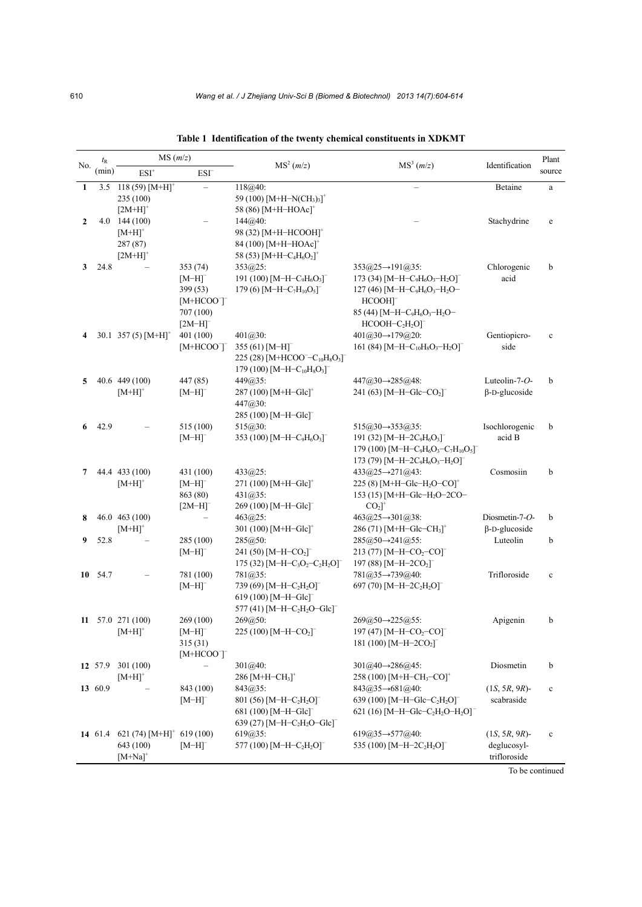|     | $t_{\rm R}$ | MS(m/z)                                         |                                 |                                                                                                               |                                                                                                                           |                       | Plant           |
|-----|-------------|-------------------------------------------------|---------------------------------|---------------------------------------------------------------------------------------------------------------|---------------------------------------------------------------------------------------------------------------------------|-----------------------|-----------------|
| No. | (min)       | $ESI+$                                          | ESI <sup>-</sup>                | MS <sup>2</sup> (m/z)                                                                                         | MS <sup>3</sup> (m/z)                                                                                                     | Identification        | source          |
|     | 3.5         | $118(59) [M+H]$ <sup>*</sup>                    |                                 | 118@40:                                                                                                       |                                                                                                                           | Betaine               | a               |
|     |             | 235 (100)                                       |                                 | 59 (100) $[M+H-N(CH_3)_3]^+$                                                                                  |                                                                                                                           |                       |                 |
|     |             | $[2M+H]$ <sup>+</sup>                           |                                 | 58 (86) $[M+H-HOAc]$ <sup>+</sup>                                                                             |                                                                                                                           |                       |                 |
| 2   | 4.0         | 144 (100)                                       |                                 | 144@40:                                                                                                       |                                                                                                                           | Stachydrine           | $\mathbf e$     |
|     |             | $[M+H]$ <sup>+</sup>                            |                                 | 98 (32) [M+H-HCOOH] <sup>+</sup>                                                                              |                                                                                                                           |                       |                 |
|     |             | 287 (87)<br>$[2M+H]$ <sup>+</sup>               |                                 | $84(100)$ [M+H-HOAc] <sup>+</sup><br>58 (53) [M+H-C <sub>4</sub> H <sub>6</sub> O <sub>2</sub> ] <sup>+</sup> |                                                                                                                           |                       |                 |
| 3   | 24.8        |                                                 | 353(74)                         | $353@25$ :                                                                                                    | $353\textcircled{a}25 \rightarrow 191\textcircled{a}35$ :                                                                 | Chlorogenic           | b               |
|     |             |                                                 | $[M-H]$                         | 191 (100) [M-H-C <sub>9</sub> H <sub>6</sub> O <sub>3</sub> ] <sup>-</sup>                                    | 173 (34) $[M-H-C_9H_6O_3-H_2O]$                                                                                           | acid                  |                 |
|     |             |                                                 | 399 (53)                        | 179 (6) $[M-H-C7H10O5$ <sup>-</sup>                                                                           | 127 (46) [M-H-C <sub>9</sub> H <sub>6</sub> O <sub>3</sub> -H <sub>2</sub> O-                                             |                       |                 |
|     |             |                                                 | $[M+HCOO]$                      |                                                                                                               | HCOOH]                                                                                                                    |                       |                 |
|     |             |                                                 | 707 (100)                       |                                                                                                               | 85 (44) [M-H-C <sub>9</sub> H <sub>6</sub> O <sub>3</sub> -H <sub>2</sub> O-                                              |                       |                 |
|     |             |                                                 | $[2M-H]$ <sup>-</sup>           |                                                                                                               | $HCOOH-C2H2O$ <sup>-</sup>                                                                                                |                       |                 |
| 4   |             | 30.1 357 (5) $[M+H]$ <sup>+</sup>               | 401 (100)                       | $401@30$ :                                                                                                    | $401\textcircled{a}30 \rightarrow 179\textcircled{a}20$ :                                                                 | Gentiopicro-          | $\mathbf c$     |
|     |             |                                                 | $[M+HCOO]$                      | 355 (61) $[M-H]$ <sup>-</sup>                                                                                 | 161 (84) $[M-H-C_{10}H_8O_3-H_2O]$                                                                                        | side                  |                 |
|     |             |                                                 |                                 | 225 (28) [M+HCOO <sup>-</sup> -C <sub>10</sub> H <sub>8</sub> O <sub>3</sub> ] <sup>-</sup>                   |                                                                                                                           |                       |                 |
| 5   |             | 40.6 449 (100)                                  | 447 (85)                        | 179 (100) [M-H-C <sub>10</sub> H <sub>8</sub> O <sub>3</sub> ] <sup>-</sup><br>449@35:                        | $447@30 \rightarrow 285@48$ :                                                                                             | Luteolin- $7$ - $O$ - | b               |
|     |             | $[M+H]$ <sup>+</sup>                            | $[M-H]$                         | 287 (100) $[M+H-Glc]$ <sup>+</sup>                                                                            | 241 (63) $[M-H-Glc-CO2$ <sup>-</sup>                                                                                      | $\beta$ -D-glucoside  |                 |
|     |             |                                                 |                                 | 447@30:                                                                                                       |                                                                                                                           |                       |                 |
|     |             |                                                 |                                 | 285 (100) [M-H-Glc] <sup>-</sup>                                                                              |                                                                                                                           |                       |                 |
| 6   | 42.9        |                                                 | 515 (100)                       | 515@30:                                                                                                       | $515@30 \rightarrow 353@35$ :                                                                                             | Isochlorogenic        | b               |
|     |             |                                                 | $[M-H]$ <sup>-</sup>            | 353 (100) [M-H-C <sub>9</sub> H <sub>6</sub> O <sub>3</sub> ] <sup>-</sup>                                    | 191 (32) [M-H-2C <sub>9</sub> H <sub>6</sub> O <sub>3</sub> ] <sup>-</sup>                                                | acid B                |                 |
|     |             |                                                 |                                 |                                                                                                               | 179 (100) [M-H-C <sub>9</sub> H <sub>6</sub> O <sub>3</sub> -C <sub>7</sub> H <sub>10</sub> O <sub>5</sub> ] <sup>-</sup> |                       |                 |
|     |             |                                                 |                                 |                                                                                                               | 173 (79) [M-H-2C <sub>9</sub> H <sub>6</sub> O <sub>3</sub> -H <sub>2</sub> O] <sup>-</sup>                               |                       |                 |
| 7   |             | 44.4 433 (100)                                  | 431 (100)                       | $433@25$ :                                                                                                    | 433@25→271@43:                                                                                                            | Cosmosiin             | b               |
|     |             | $[M+H]^+$                                       | $[M-H]$ <sup>-</sup>            | 271 (100) $[M+H-Glc]$ <sup>+</sup>                                                                            | 225 (8) [M+H-Glc-H <sub>2</sub> O-CO] <sup>+</sup>                                                                        |                       |                 |
|     |             |                                                 | 863 (80)                        | $431@35$ :                                                                                                    | 153 (15) [M+H-Glc-H <sub>2</sub> O-2CO-                                                                                   |                       |                 |
| 8   |             | 46.0 463 (100)                                  | $[2M-H]$                        | 269 (100) [M-H-Glc] <sup>-</sup><br>$463@25$ :                                                                | $CO2$ <sup>+</sup><br>463@25→301@38:                                                                                      | Diosmetin-7- $O$ -    | b               |
|     |             | $[M+H]$ <sup>+</sup>                            |                                 | 301 (100) $[M+H-Glc]$ <sup>+</sup>                                                                            | 286 (71) [M+H-Glc-CH <sub>3</sub> ] <sup>+</sup>                                                                          | $\beta$ -D-glucoside  |                 |
| 9   | 52.8        |                                                 | 285 (100)                       | 285@50:                                                                                                       | $285@50 \rightarrow 241@55$ :                                                                                             | Luteolin              | b               |
|     |             |                                                 | $[M-H]$                         | 241 (50) [M-H-CO <sub>2</sub> ] <sup>-</sup>                                                                  | 213 (77) [M-H-CO <sub>2</sub> -CO]                                                                                        |                       |                 |
|     |             |                                                 |                                 | 175 (32) [M-H-C <sub>3</sub> O <sub>2</sub> -C <sub>2</sub> H <sub>2</sub> O] <sup>-</sup>                    | 197 (88) $[M-H-2CO2$ <sup>-</sup>                                                                                         |                       |                 |
| 10  | 54.7        |                                                 | 781 (100)                       | 781@35:                                                                                                       | 781@35→739@40:                                                                                                            | Trifloroside          | $\mathbf c$     |
|     |             |                                                 | $[M-H]$ <sup>-</sup>            | 739 (69) [M-H-C <sub>2</sub> H <sub>2</sub> O] <sup>-</sup>                                                   | 697 (70) $[M-H-2C_2H_2O]$ <sup>-</sup>                                                                                    |                       |                 |
|     |             |                                                 |                                 | 619 (100) $[M-H-Glc]$ <sup>-</sup>                                                                            |                                                                                                                           |                       |                 |
|     |             |                                                 |                                 | 577 (41) $[M-H-C2H2O-Glc]$                                                                                    |                                                                                                                           |                       |                 |
|     |             | $11$ 57.0 271 (100)                             | 269 (100)                       | $269@50$ :                                                                                                    | $269@50 \rightarrow 225@55$ :                                                                                             | Apigenin              | b               |
|     |             | $[M+H]$ <sup>+</sup>                            | $[M-H]$ <sup>-</sup><br>315(31) | 225 (100) [M-H-CO <sub>2</sub> ] <sup>-</sup>                                                                 | 197 (47) [M-H-CO <sub>2</sub> -CO] <sup>-</sup><br>181 (100) $[M-H-2CO2$ <sup>-</sup>                                     |                       |                 |
|     |             |                                                 | $[M+HCOO]$                      |                                                                                                               |                                                                                                                           |                       |                 |
|     | 12 57.9     | 301(100)                                        |                                 | 301@40:                                                                                                       | $301@40 \rightarrow 286@45$ :                                                                                             | Diosmetin             | b               |
|     |             | $[M+H]$ <sup>+</sup>                            |                                 | 286 $[M+H-CH3$ <sup>+</sup>                                                                                   | 258 (100) [M+H-CH <sub>3</sub> -CO] <sup>+</sup>                                                                          |                       |                 |
|     | 13 60.9     |                                                 | 843 (100)                       | $843@35$ :                                                                                                    | $843(a)35 \rightarrow 681(a)40$ :                                                                                         | $(1S, 5R, 9R)$ -      | $\mathbf c$     |
|     |             |                                                 | $[M-H]$                         | 801 (56) [M-H-C <sub>2</sub> H <sub>2</sub> O] <sup>-</sup>                                                   | 639 (100) [M-H-Glc-C <sub>2</sub> H <sub>2</sub> O] <sup>-</sup>                                                          | scabraside            |                 |
|     |             |                                                 |                                 | 681 (100) [M-H-Glc] <sup>-</sup>                                                                              | 621 (16) [M-H-Glc-C <sub>2</sub> H <sub>2</sub> O-H <sub>2</sub> O] <sup>-</sup>                                          |                       |                 |
|     |             |                                                 |                                 | 639 (27) [M-H-C <sub>2</sub> H <sub>2</sub> O-Glc] <sup>-</sup>                                               |                                                                                                                           |                       |                 |
|     |             | 14 61.4 621 (74) $[M+H]$ <sup>+</sup> 619 (100) |                                 | $619@35$ :                                                                                                    | $619@35 \rightarrow 577@40.$                                                                                              | $(1S, 5R, 9R)$ -      | $\mathbf c$     |
|     |             | 643 (100)                                       | $[M-H]$ <sup>-</sup>            | 577 (100) [M-H-C <sub>2</sub> H <sub>2</sub> O] <sup>-</sup>                                                  | 535 (100) $[M-H-2C_2H_2O]$                                                                                                | deglucosyl-           |                 |
|     |             | $[M+Na]$ <sup>+</sup>                           |                                 |                                                                                                               |                                                                                                                           | trifloroside          | To be continued |

**Table 1 Identification of the twenty chemical constituents in XDKMT**

To be continued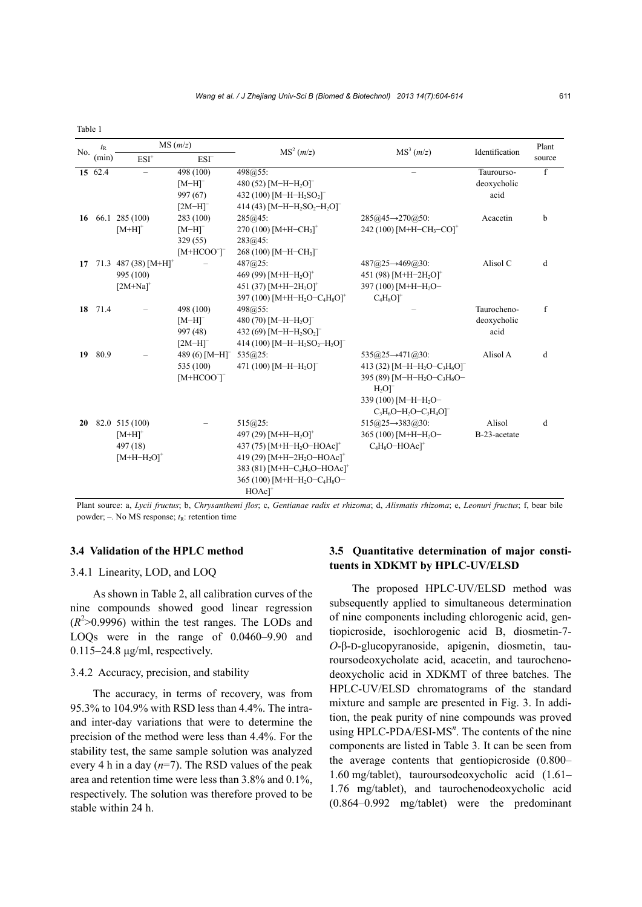|     | $t_{\rm R}$ |                                    | MS(m/z)                      | MS <sup>2</sup> (m/z)                                                         | MS <sup>3</sup> (m/z)                                                        | Identification | Plant  |
|-----|-------------|------------------------------------|------------------------------|-------------------------------------------------------------------------------|------------------------------------------------------------------------------|----------------|--------|
| No. | (min)       | $ESI+$                             | ESI <sup>-</sup>             |                                                                               |                                                                              |                | source |
|     | 15 62.4     |                                    | 498 (100)                    | 498@55:                                                                       |                                                                              | Taurourso-     | f      |
|     |             |                                    | $[M-H]$ <sup>-</sup>         | 480 (52) $[M-H-H2O]$ <sup>-</sup>                                             |                                                                              | deoxycholic    |        |
|     |             |                                    | 997 (67)                     | 432 (100) [M-H-H <sub>2</sub> SO <sub>2</sub> ] <sup>-</sup>                  |                                                                              | acid           |        |
|     |             |                                    | $[2M-H]$                     | 414 (43) $[M-H-H2SO2-H2O]$                                                    |                                                                              |                |        |
| 16  |             | 66.1 285 (100)                     | 283 (100)                    | 285@45:                                                                       | $285@45 \rightarrow 270@50$ :                                                | Acacetin       | b      |
|     |             | $[M+H]$ <sup>+</sup>               | $[M-H]$ <sup>-</sup>         | 270 (100) $[M+H-CH3]+$                                                        | 242 (100) [M+H-CH <sub>3</sub> -CO] <sup>+</sup>                             |                |        |
|     |             |                                    | 329(55)                      | 283@45:                                                                       |                                                                              |                |        |
|     |             |                                    | $[M+HCOO]$                   | 268 (100) $[M-H-CH3$ <sup>-</sup>                                             |                                                                              |                |        |
| 17  |             | 71.3 487 (38) $[M+H]$ <sup>+</sup> |                              | $487@25$ :                                                                    | $487@25 \rightarrow 469@30$ :                                                | Alisol C       | d      |
|     |             | 995 (100)                          |                              | 469 (99) [M+H-H <sub>2</sub> O] <sup>+</sup>                                  | 451 (98) $[M+H-2H2O]$ <sup>+</sup>                                           |                |        |
|     |             | $[2M+Na]^{+}$                      |                              | 451 (37) $[M+H-2H2O]$ <sup>+</sup>                                            | 397 (100) [M+H-H <sub>2</sub> O-                                             |                |        |
|     |             |                                    |                              | 397 (100) [M+H-H <sub>2</sub> O-C <sub>4</sub> H <sub>8</sub> O] <sup>+</sup> | $C_4H_8O$ <sup>+</sup>                                                       |                |        |
| 18  | 71.4        |                                    | 498 (100)                    | 498@55:                                                                       |                                                                              | Taurocheno-    | f      |
|     |             |                                    | $[M-H]$                      | 480 (70) $[M-H-H2O]$ <sup>-</sup>                                             |                                                                              | deoxycholic    |        |
|     |             |                                    | 997 (48)                     | 432 (69) $[M-H-H2SO2$ <sup>-</sup>                                            |                                                                              | acid           |        |
|     |             |                                    | $[2M-H]$ <sup>-</sup>        | 414 (100) [M-H-H <sub>2</sub> SO <sub>2</sub> -H <sub>2</sub> O] <sup>-</sup> |                                                                              |                |        |
| 19  | 80.9        |                                    | 489 $(6)$ [M-H] <sup>-</sup> | 535@25:                                                                       | $535@25 \rightarrow 471@30$ :                                                | Alisol A       | d      |
|     |             |                                    | 535 (100)                    | 471 (100) $[M-H-H2O]$ <sup>-</sup>                                            | 413 (32) [M-H-H <sub>2</sub> O-C <sub>3</sub> H <sub>6</sub> O] <sup>-</sup> |                |        |
|     |             |                                    | $[M+HCOO^-]$                 |                                                                               | 395 (89) [M-H-H <sub>2</sub> O-C <sub>3</sub> H <sub>6</sub> O-              |                |        |
|     |             |                                    |                              |                                                                               | $H_2O$ <sup>-</sup>                                                          |                |        |
|     |             |                                    |                              |                                                                               | 339 (100) [M-H-H <sub>2</sub> O-                                             |                |        |
|     |             |                                    |                              |                                                                               | $C_3H_6O-H_2O-C_3H_4O$ <sup>-</sup>                                          |                |        |
| 20  |             | 82.0 515 (100)                     |                              | $515@25$ :                                                                    | $515@25 \rightarrow 383@30$ :                                                | Alisol         | d      |
|     |             | $[M+H]$ <sup>+</sup>               |                              | 497 (29) $[M+H-H2O]$ <sup>+</sup>                                             | 365 (100) [M+H-H <sub>2</sub> O-                                             | B-23-acetate   |        |
|     |             | 497 (18)                           |                              | 437 (75) $[M+H-H2O-HOAc]$ <sup>+</sup>                                        | $C_4H_8O-HOAc$ <sup>+</sup>                                                  |                |        |
|     |             | $[M+H-H2O]$ <sup>+</sup>           |                              | 419 (29) [M+H-2H <sub>2</sub> O-HOAc] <sup>+</sup>                            |                                                                              |                |        |
|     |             |                                    |                              | 383 (81) [M+H-C <sub>4</sub> H <sub>8</sub> O-HOAc] <sup>+</sup>              |                                                                              |                |        |
|     |             |                                    |                              | 365 (100) [M+H-H <sub>2</sub> O-C <sub>4</sub> H <sub>8</sub> O-              |                                                                              |                |        |
|     |             |                                    |                              | $HOAc$ <sup>+</sup>                                                           |                                                                              |                |        |

Plant source: a, *Lycii fructus*; b, *Chrysanthemi flos*; c, *Gentianae radix et rhizoma*; d, *Alismatis rhizoma*; e, *Leonuri fructus*; f, bear bile powder;  $-$ . No MS response;  $t<sub>R</sub>$ : retention time

#### **3.4 Validation of the HPLC method**

# 3.4.1 Linearity, LOD, and LOQ

Table 1

As shown in Table 2, all calibration curves of the nine compounds showed good linear regression  $(R<sup>2</sup>$ <sub>2</sub>( $R<sup>2</sup>$ ) within the test ranges. The LODs and LOQs were in the range of 0.0460–9.90 and 0.115–24.8 μg/ml, respectively.

## 3.4.2 Accuracy, precision, and stability

The accuracy, in terms of recovery, was from 95.3% to 104.9% with RSD less than 4.4%. The intraand inter-day variations that were to determine the precision of the method were less than 4.4%. For the stability test, the same sample solution was analyzed every 4 h in a day  $(n=7)$ . The RSD values of the peak area and retention time were less than 3.8% and 0.1%, respectively. The solution was therefore proved to be stable within 24 h.

# **3.5 Quantitative determination of major constituents in XDKMT by HPLC-UV/ELSD**

The proposed HPLC-UV/ELSD method was subsequently applied to simultaneous determination of nine components including chlorogenic acid, gentiopicroside, isochlorogenic acid B, diosmetin-7- *O*-β-D-glucopyranoside, apigenin, diosmetin, tauroursodeoxycholate acid, acacetin, and taurochenodeoxycholic acid in XDKMT of three batches. The HPLC-UV/ELSD chromatograms of the standard mixture and sample are presented in Fig. 3. In addition, the peak purity of nine compounds was proved using HPLC-PDA/ESI-MS<sup>n</sup>. The contents of the nine components are listed in Table 3. It can be seen from the average contents that gentiopicroside (0.800– 1.60 mg/tablet), tauroursodeoxycholic acid (1.61– 1.76 mg/tablet), and taurochenodeoxycholic acid (0.864–0.992 mg/tablet) were the predominant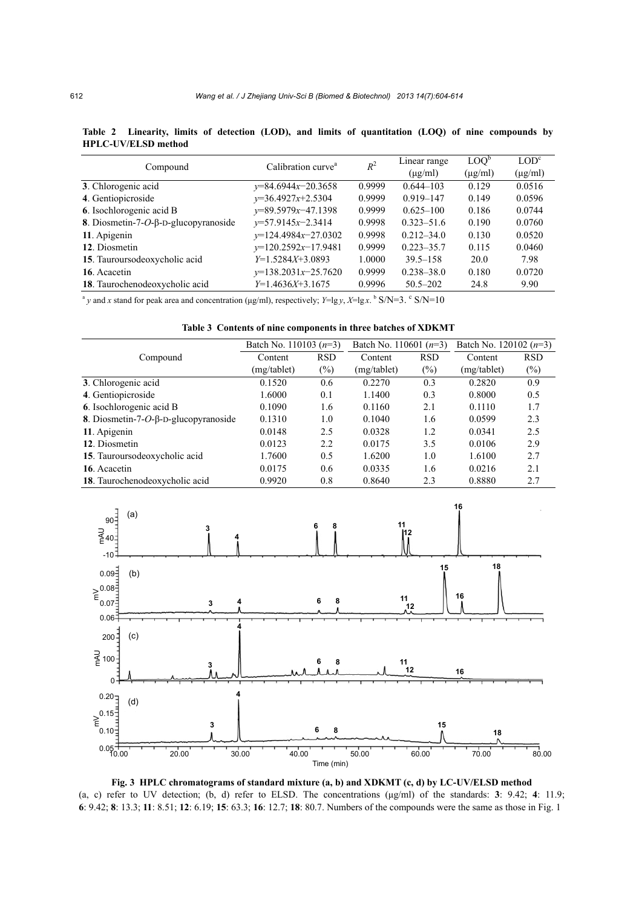|                                               | Calibration curve <sup>a</sup> | $R^2$  | Linear range   | $\mathrm{LOO}^{\mathrm{D}}$ | LOD <sup>c</sup> |
|-----------------------------------------------|--------------------------------|--------|----------------|-----------------------------|------------------|
| Compound                                      |                                |        | $(\mu$ g/ml)   | $(\mu$ g/ml)                | $(\mu g/ml)$     |
| 3. Chlorogenic acid                           | $y=84.6944x-20.3658$           | 0.9999 | $0.644 - 103$  | 0.129                       | 0.0516           |
| 4. Gentiopicroside                            | $y=36.4927x+2.5304$            | 0.9999 | $0.919 - 147$  | 0.149                       | 0.0596           |
| 6. Isochlorogenic acid B                      | $y=89.5979x-47.1398$           | 0.9999 | $0.625 - 100$  | 0.186                       | 0.0744           |
| 8. Diosmetin-7- <i>O</i> -β-D-glucopyranoside | $y=57.9145x-2.3414$            | 0.9998 | $0.323 - 51.6$ | 0.190                       | 0.0760           |
| 11. Apigenin                                  | $y=124.4984x-27.0302$          | 0.9998 | $0.212 - 34.0$ | 0.130                       | 0.0520           |
| 12. Diosmetin                                 | $y=120.2592x-17.9481$          | 0.9999 | $0.223 - 35.7$ | 0.115                       | 0.0460           |
| 15. Tauroursodeoxycholic acid                 | $Y=1.5284X+3.0893$             | 1.0000 | $39.5 - 158$   | 20.0                        | 7.98             |
| 16. Acacetin                                  | $y=138.2031x-25.7620$          | 0.9999 | $0.238 - 38.0$ | 0.180                       | 0.0720           |
| 18. Taurochenodeoxycholic acid                | $Y=1.4636X+3.1675$             | 0.9996 | $50.5 - 202$   | 24.8                        | 9.90             |

**Table 2 Linearity, limits of detection (LOD), and limits of quantitation (LOQ) of nine compounds by HPLC-UV/ELSD method** 

 $\alpha$ <sup>a</sup> y and x stand for peak area and concentration (µg/ml), respectively; *Y*=lg *y*, *X*=lg x. <sup>b</sup> S/N=3. <sup>c</sup> S/N=10

|                                          | Batch No. 110103 $(n=3)$ |            | Batch No. 110601 $(n=3)$ |            | Batch No. 120102 $(n=3)$ |            |  |
|------------------------------------------|--------------------------|------------|--------------------------|------------|--------------------------|------------|--|
| Compound                                 | Content                  | <b>RSD</b> | Content                  | <b>RSD</b> | Content                  | <b>RSD</b> |  |
|                                          | (mg/tablet)              | $(\%)$     | (mg/tablet)              | $(\%)$     | (mg/tablet)              | $(\%)$     |  |
| 3. Chlorogenic acid                      | 0.1520                   | 0.6        | 0.2270                   | 0.3        | 0.2820                   | 0.9        |  |
| 4. Gentiopicroside                       | 1.6000                   | 0.1        | 1.1400                   | 0.3        | 0.8000                   | 0.5        |  |
| 6. Isochlorogenic acid B                 | 0.1090                   | 1.6        | 0.1160                   | 2.1        | 0.1110                   | 1.7        |  |
| 8. Diosmetin-7- $O$ -β-D-glucopyranoside | 0.1310                   | 1.0        | 0.1040                   | 1.6        | 0.0599                   | 2.3        |  |
| 11. Apigenin                             | 0.0148                   | 2.5        | 0.0328                   | 1.2        | 0.0341                   | 2.5        |  |
| 12. Diosmetin                            | 0.0123                   | 2.2        | 0.0175                   | 3.5        | 0.0106                   | 2.9        |  |
| 15. Tauroursodeoxycholic acid            | 1.7600                   | 0.5        | 1.6200                   | 1.0        | 1.6100                   | 2.7        |  |
| 16. Acacetin                             | 0.0175                   | 0.6        | 0.0335                   | 1.6        | 0.0216                   | 2.1        |  |
| 18. Taurochenodeoxycholic acid           | 0.9920                   | 0.8        | 0.8640                   | 2.3        | 0.8880                   | 2.7        |  |



**Fig. 3 HPLC chromatograms of standard mixture (a, b) and XDKMT (c, d) by LC-UV/ELSD method**  (a, c) refer to UV detection; (b, d) refer to ELSD. The concentrations (μg/ml) of the standards: **3**: 9.42; **4**: 11.9; **6**: 9.42; **8**: 13.3; **11**: 8.51; **12**: 6.19; **15**: 63.3; **16**: 12.7; **18**: 80.7. Numbers of the compounds were the same as those in Fig. 1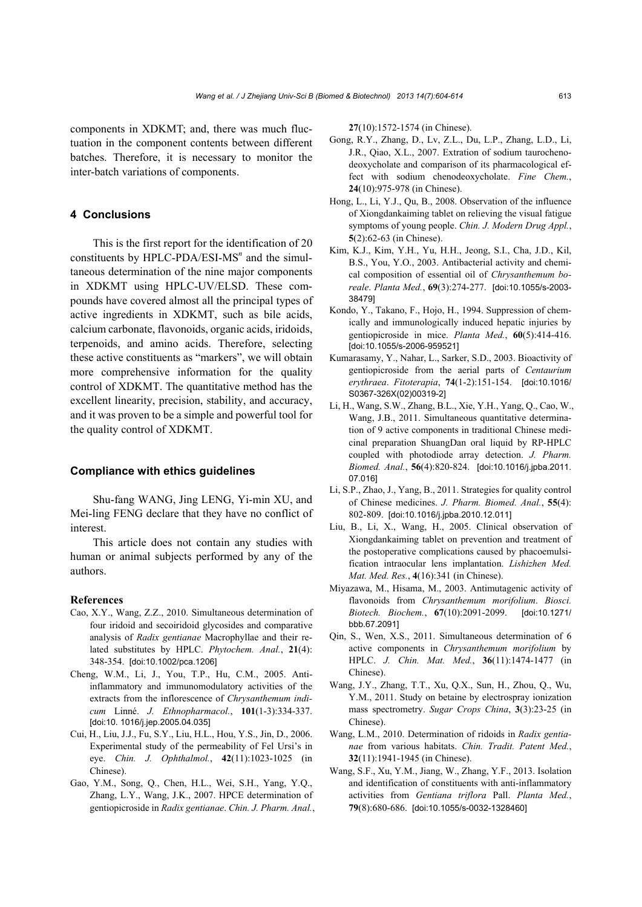components in XDKMT; and, there was much fluctuation in the component contents between different batches. Therefore, it is necessary to monitor the inter-batch variations of components.

#### **4 Conclusions**

This is the first report for the identification of 20 constituents by HPLC-PDA/ESI-MS<sup>n</sup> and the simultaneous determination of the nine major components in XDKMT using HPLC-UV/ELSD. These compounds have covered almost all the principal types of active ingredients in XDKMT, such as bile acids, calcium carbonate, flavonoids, organic acids, iridoids, terpenoids, and amino acids. Therefore, selecting these active constituents as "markers", we will obtain more comprehensive information for the quality control of XDKMT. The quantitative method has the excellent linearity, precision, stability, and accuracy, and it was proven to be a simple and powerful tool for the quality control of XDKMT.

#### **Compliance with ethics guidelines**

Shu-fang WANG, Jing LENG, Yi-min XU, and Mei-ling FENG declare that they have no conflict of interest.

This article does not contain any studies with human or animal subjects performed by any of the authors.

#### **References**

- Cao, X.Y., Wang, Z.Z., 2010. Simultaneous determination of four iridoid and secoiridoid glycosides and comparative analysis of *Radix gentianae* Macrophyllae and their related substitutes by HPLC. *Phytochem. Anal.*, **21**(4): 348-354. [doi:10.1002/pca.1206]
- Cheng, W.M., Li, J., You, T.P., Hu, C.M., 2005. Antiinflammatory and immunomodulatory activities of the extracts from the inflorescence of *Chrysanthemum indicum* Linné. *J. Ethnopharmacol.*, **101**(1-3):334-337. [doi:10. 1016/j.jep.2005.04.035]
- Cui, H., Liu, J.J., Fu, S.Y., Liu, H.L., Hou, Y.S., Jin, D., 2006. Experimental study of the permeability of Fel Ursi's in eye. *Chin. J. Ophthalmol.*, **42**(11):1023-1025 (in Chinese).
- Gao, Y.M., Song, Q., Chen, H.L., Wei, S.H., Yang, Y.Q., Zhang, L.Y., Wang, J.K., 2007. HPCE determination of gentiopicroside in *Radix gentianae*. *Chin. J. Pharm. Anal.*,

**27**(10):1572-1574 (in Chinese).

- Gong, R.Y., Zhang, D., Lv, Z.L., Du, L.P., Zhang, L.D., Li, J.R., Qiao, X.L., 2007. Extration of sodium taurochenodeoxycholate and comparison of its pharmacological effect with sodium chenodeoxycholate. *Fine Chem.*, **24**(10):975-978 (in Chinese).
- Hong, L., Li, Y.J., Qu, B., 2008. Observation of the influence of Xiongdankaiming tablet on relieving the visual fatigue symptoms of young people. *Chin. J. Modern Drug Appl.*, **5**(2):62-63 (in Chinese).
- Kim, K.J., Kim, Y.H., Yu, H.H., Jeong, S.I., Cha, J.D., Kil, B.S., You, Y.O., 2003. Antibacterial activity and chemical composition of essential oil of *Chrysanthemum boreale*. *Planta Med.*, **69**(3):274-277. [doi:10.1055/s-2003- 38479]
- Kondo, Y., Takano, F., Hojo, H., 1994. Suppression of chemically and immunologically induced hepatic injuries by gentiopicroside in mice. *Planta Med.*, **60**(5):414-416. [doi:10.1055/s-2006-959521]
- Kumarasamy, Y., Nahar, L., Sarker, S.D., 2003. Bioactivity of gentiopicroside from the aerial parts of *Centaurium erythraea*. *Fitoterapia*, **74**(1-2):151-154. [doi:10.1016/ S0367-326X(02)00319-2]
- Li, H., Wang, S.W., Zhang, B.L., Xie, Y.H., Yang, Q., Cao, W., Wang, J.B., 2011. Simultaneous quantitative determination of 9 active components in traditional Chinese medicinal preparation ShuangDan oral liquid by RP-HPLC coupled with photodiode array detection. *J. Pharm. Biomed. Anal.*, **56**(4):820-824. [doi:10.1016/j.jpba.2011. 07.016]
- Li, S.P., Zhao, J., Yang, B., 2011. Strategies for quality control of Chinese medicines. *J. Pharm. Biomed. Anal.*, **55**(4): 802-809. [doi:10.1016/j.jpba.2010.12.011]
- Liu, B., Li, X., Wang, H., 2005. Clinical observation of Xiongdankaiming tablet on prevention and treatment of the postoperative complications caused by phacoemulsification intraocular lens implantation. *Lishizhen Med. Mat. Med. Res.*, **4**(16):341 (in Chinese).
- Miyazawa, M., Hisama, M., 2003. Antimutagenic activity of flavonoids from *Chrysanthemum morifolium*. *Biosci. Biotech. Biochem.*, **67**(10):2091-2099. [doi:10.1271/ bbb.67.2091]
- Qin, S., Wen, X.S., 2011. Simultaneous determination of 6 active components in *Chrysanthemum morifolium* by HPLC. *J. Chin. Mat. Med.*, **36**(11):1474-1477 (in Chinese).
- Wang, J.Y., Zhang, T.T., Xu, Q.X., Sun, H., Zhou, Q., Wu, Y.M., 2011. Study on betaine by electrospray ionization mass spectrometry. *Sugar Crops China*, **3**(3):23-25 (in Chinese).
- Wang, L.M., 2010. Determination of ridoids in *Radix gentianae* from various habitats. *Chin. Tradit. Patent Med.*, **32**(11):1941-1945 (in Chinese).
- Wang, S.F., Xu, Y.M., Jiang, W., Zhang, Y.F., 2013. Isolation and identification of constituents with anti-inflammatory activities from *Gentiana triflora* Pall. *Planta Med.*, **79**(8):680-686. [doi:10.1055/s-0032-1328460]